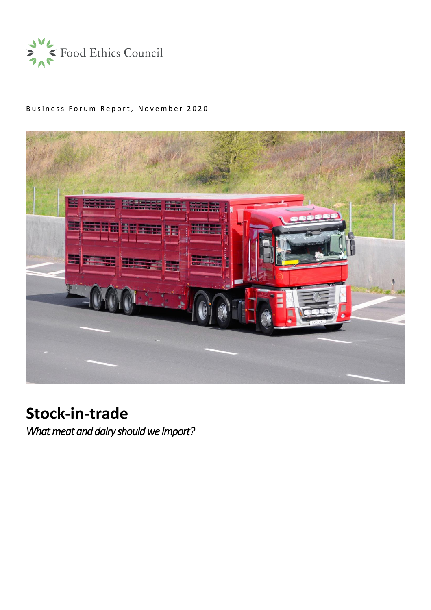

# Business Forum Report, November 2020



# **Stock-in-trade**

*What meat and dairy should we import?*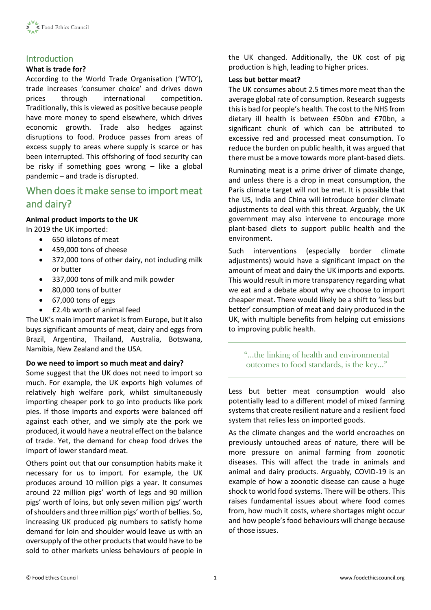

# Introduction

## **What is trade for?**

According to the World Trade Organisation ('WTO'), trade increases 'consumer choice' and drives down prices through international competition. Traditionally, this is viewed as positive because people have more money to spend elsewhere, which drives economic growth. Trade also hedges against disruptions to food. Produce passes from areas of excess supply to areas where supply is scarce or has been interrupted. This offshoring of food security can be risky if something goes wrong – like a global pandemic – and trade is disrupted.

# When does it make sense to import meat and dairy?

## **Animal product imports to the UK** In 2019 the UK imported:

- 650 kilotons of meat
- 459,000 tons of cheese
- 372,000 tons of other dairy, not including milk or butter
- 337,000 tons of milk and milk powder
- 80,000 tons of butter
- 67,000 tons of eggs
- £2.4b worth of animal feed

The UK's main import market is from Europe, but it also buys significant amounts of meat, dairy and eggs from Brazil, Argentina, Thailand, Australia, Botswana, Namibia, New Zealand and the USA.

## **Do we need to import so much meat and dairy?**

Some suggest that the UK does not need to import so much. For example, the UK exports high volumes of relatively high welfare pork, whilst simultaneously importing cheaper pork to go into products like pork pies. If those imports and exports were balanced off against each other, and we simply ate the pork we produced, it would have a neutral effect on the balance of trade. Yet, the demand for cheap food drives the import of lower standard meat.

Others point out that our consumption habits make it necessary for us to import. For example, the UK produces around 10 million pigs a year. It consumes around 22 million pigs' worth of legs and 90 million pigs' worth of loins, but only seven million pigs' worth of shoulders and three million pigs' worth of bellies. So, increasing UK produced pig numbers to satisfy home demand for loin and shoulder would leave us with an oversupply of the other products that would have to be sold to other markets unless behaviours of people in the UK changed. Additionally, the UK cost of pig production is high, leading to higher prices.

#### **Less but better meat?**

The UK consumes about 2.5 times more meat than the average global rate of consumption. Research suggests this is bad for people's health. The cost to the NHS from dietary ill health is between £50bn and £70bn, a significant chunk of which can be attributed to excessive red and processed meat consumption. To reduce the burden on public health, it was argued that there must be a move towards more plant-based diets.

Ruminating meat is a prime driver of climate change, and unless there is a drop in meat consumption, the Paris climate target will not be met. It is possible that the US, India and China will introduce border climate adjustments to deal with this threat. Arguably, the UK government may also intervene to encourage more plant-based diets to support public health and the environment.

Such interventions (especially border climate adjustments) would have a significant impact on the amount of meat and dairy the UK imports and exports. This would result in more transparency regarding what we eat and a debate about why we choose to import cheaper meat. There would likely be a shift to 'less but better' consumption of meat and dairy produced in the UK, with multiple benefits from helping cut emissions to improving public health.

"…the linking of health and environmental outcomes to food standards, is the key…"

Less but better meat consumption would also potentially lead to a different model of mixed farming systems that create resilient nature and a resilient food system that relies less on imported goods.

As the climate changes and the world encroaches on previously untouched areas of nature, there will be more pressure on animal farming from zoonotic diseases. This will affect the trade in animals and animal and dairy products. Arguably, COVID-19 is an example of how a zoonotic disease can cause a huge shock to world food systems. There will be others. This raises fundamental issues about where food comes from, how much it costs, where shortages might occur and how people's food behaviours will change because of those issues.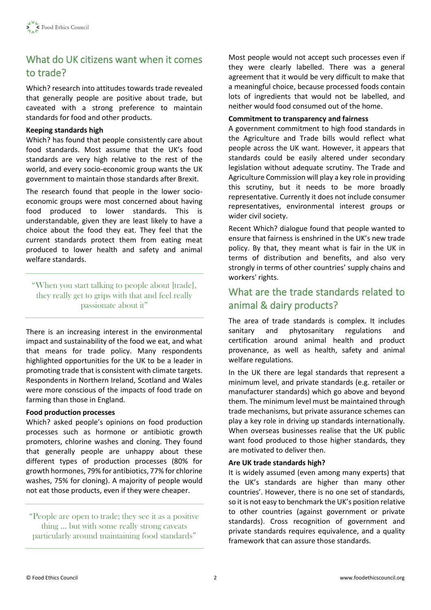# What do UK citizens want when it comes to trade?

Which? research into attitudes towards trade revealed that generally people are positive about trade, but caveated with a strong preference to maintain standards for food and other products.

## **Keeping standards high**

Which? has found that people consistently care about food standards. Most assume that the UK's food standards are very high relative to the rest of the world, and every socio-economic group wants the UK government to maintain those standards after Brexit.

The research found that people in the lower socioeconomic groups were most concerned about having food produced to lower standards. This is understandable, given they are least likely to have a choice about the food they eat. They feel that the current standards protect them from eating meat produced to lower health and safety and animal welfare standards.

"When you start talking to people about [trade], they really get to grips with that and feel really passionate about it"

There is an increasing interest in the environmental impact and sustainability of the food we eat, and what that means for trade policy. Many respondents highlighted opportunities for the UK to be a leader in promoting trade that is consistent with climate targets. Respondents in Northern Ireland, Scotland and Wales were more conscious of the impacts of food trade on farming than those in England.

## **Food production processes**

Which? asked people's opinions on food production processes such as hormone or antibiotic growth promoters, chlorine washes and cloning. They found that generally people are unhappy about these different types of production processes (80% for growth hormones, 79% for antibiotics, 77% for chlorine washes, 75% for cloning). A majority of people would not eat those products, even if they were cheaper.

"People are open to trade; they see it as a positive thing … but with some really strong caveats particularly around maintaining food standards"

Most people would not accept such processes even if they were clearly labelled. There was a general agreement that it would be very difficult to make that a meaningful choice, because processed foods contain lots of ingredients that would not be labelled, and neither would food consumed out of the home.

#### **Commitment to transparency and fairness**

A government commitment to high food standards in the Agriculture and Trade bills would reflect what people across the UK want. However, it appears that standards could be easily altered under secondary legislation without adequate scrutiny. The Trade and Agriculture Commission will play a key role in providing this scrutiny, but it needs to be more broadly representative. Currently it does not include consumer representatives, environmental interest groups or wider civil society.

Recent Which? dialogue found that people wanted to ensure that fairness is enshrined in the UK's new trade policy. By that, they meant what is fair in the UK in terms of distribution and benefits, and also very strongly in terms of other countries' supply chains and workers' rights.

# What are the trade standards related to animal & dairy products?

The area of trade standards is complex. It includes sanitary and phytosanitary regulations and certification around animal health and product provenance, as well as health, safety and animal welfare regulations.

In the UK there are legal standards that represent a minimum level, and private standards (e.g. retailer or manufacturer standards) which go above and beyond them. The minimum level must be maintained through trade mechanisms, but private assurance schemes can play a key role in driving up standards internationally. When overseas businesses realise that the UK public want food produced to those higher standards, they are motivated to deliver then.

## **Are UK trade standards high?**

It is widely assumed (even among many experts) that the UK's standards are higher than many other countries'. However, there is no one set of standards, so it is not easy to benchmark the UK's position relative to other countries (against government or private standards). Cross recognition of government and private standards requires equivalence, and a quality framework that can assure those standards.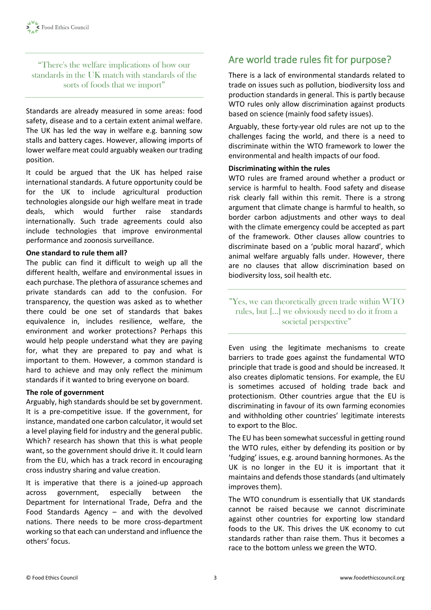"There's the welfare implications of how our standards in the UK match with standards of the sorts of foods that we import"

Standards are already measured in some areas: food safety, disease and to a certain extent animal welfare. The UK has led the way in welfare e.g. banning sow stalls and battery cages. However, allowing imports of lower welfare meat could arguably weaken our trading position.

It could be argued that the UK has helped raise international standards. A future opportunity could be for the UK to include agricultural production technologies alongside our high welfare meat in trade deals, which would further raise standards internationally. Such trade agreements could also include technologies that improve environmental performance and zoonosis surveillance.

## **One standard to rule them all?**

The public can find it difficult to weigh up all the different health, welfare and environmental issues in each purchase. The plethora of assurance schemes and private standards can add to the confusion. For transparency, the question was asked as to whether there could be one set of standards that bakes equivalence in, includes resilience, welfare, the environment and worker protections? Perhaps this would help people understand what they are paying for, what they are prepared to pay and what is important to them. However, a common standard is hard to achieve and may only reflect the minimum standards if it wanted to bring everyone on board.

#### **The role of government**

Arguably, high standards should be set by government. It is a pre-competitive issue. If the government, for instance, mandated one carbon calculator, it would set a level playing field for industry and the general public. Which? research has shown that this is what people want, so the government should drive it. It could learn from the EU, which has a track record in encouraging cross industry sharing and value creation.

It is imperative that there is a joined-up approach across government, especially between the Department for International Trade, Defra and the Food Standards Agency – and with the devolved nations. There needs to be more cross-department working so that each can understand and influence the others' focus.

# Are world trade rules fit for purpose?

There is a lack of environmental standards related to trade on issues such as pollution, biodiversity loss and production standards in general. This is partly because WTO rules only allow discrimination against products based on science (mainly food safety issues).

Arguably, these forty-year old rules are not up to the challenges facing the world, and there is a need to discriminate within the WTO framework to lower the environmental and health impacts of our food.

#### **Discriminating within the rules**

WTO rules are framed around whether a product or service is harmful to health. Food safety and disease risk clearly fall within this remit. There is a strong argument that climate change is harmful to health, so border carbon adjustments and other ways to deal with the climate emergency could be accepted as part of the framework. Other clauses allow countries to discriminate based on a 'public moral hazard', which animal welfare arguably falls under. However, there are no clauses that allow discrimination based on biodiversity loss, soil health etc.

"Yes, we can theoretically green trade within WTO rules, but […] we obviously need to do it from a societal perspective"

Even using the legitimate mechanisms to create barriers to trade goes against the fundamental WTO principle that trade is good and should be increased. It also creates diplomatic tensions. For example, the EU is sometimes accused of holding trade back and protectionism. Other countries argue that the EU is discriminating in favour of its own farming economies and withholding other countries' legitimate interests to export to the Bloc.

The EU has been somewhat successful in getting round the WTO rules, either by defending its position or by 'fudging' issues, e.g. around banning hormones. As the UK is no longer in the EU it is important that it maintains and defends those standards (and ultimately improves them).

The WTO conundrum is essentially that UK standards cannot be raised because we cannot discriminate against other countries for exporting low standard foods to the UK. This drives the UK economy to cut standards rather than raise them. Thus it becomes a race to the bottom unless we green the WTO.